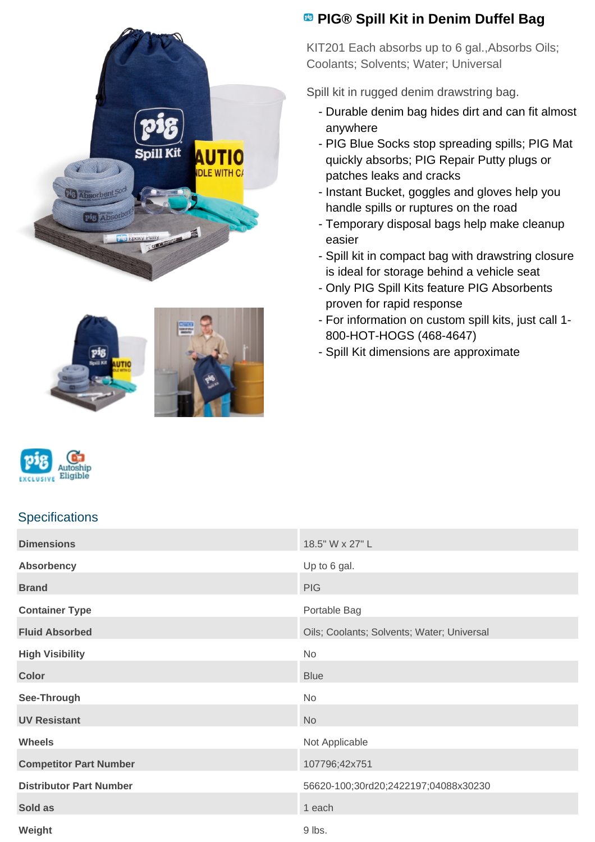







## **Specifications**

# **Dimensions** 18.5" W x 27" L **Absorbency** Up to 6 gal. **Brand** PIG **PIG Container Type Portable Bag Fluid Absorbed City Coolants: Coolants: Solvents**; Water; Universal **High Visibility** No **Color** Blue **Color** Blue **Blue Blue Blue Blue Blue Blue Blue Blue See-Through No. 2006 UV Resistant** No. 2008. The Second Second Second Second Second Second Second Second Second Second Second Second Second Second Second Second Second Second Second Second Second Second Second Second Second Second Second Seco **Wheels** Not Applicable **Competitor Part Number** 107796;42x751 **Distributor Part Number** 56620-100;30rd20;2422197;04088x30230 **Sold as 1 each property of the state of the state of the state of the state of the state of the state of the state of the state of the state of the state of the state of the state of the state of the state of the state of Weight** 9 lbs.

# **<sup><b>B</sup>** PIG® Spill Kit in Denim Duffel Bag</sup>

KIT201 Each absorbs up to 6 gal.,Absorbs Oils; Coolants; Solvents; Water; Universal

Spill kit in rugged denim drawstring bag.

- Durable denim bag hides dirt and can fit almost anywhere
- PIG Blue Socks stop spreading spills; PIG Mat quickly absorbs; PIG Repair Putty plugs or patches leaks and cracks
- Instant Bucket, goggles and gloves help you handle spills or ruptures on the road
- Temporary disposal bags help make cleanup easier
- Spill kit in compact bag with drawstring closure is ideal for storage behind a vehicle seat
- Only PIG Spill Kits feature PIG Absorbents proven for rapid response
- For information on custom spill kits, just call 1-800-HOT-HOGS (468-4647)
- Spill Kit dimensions are approximate